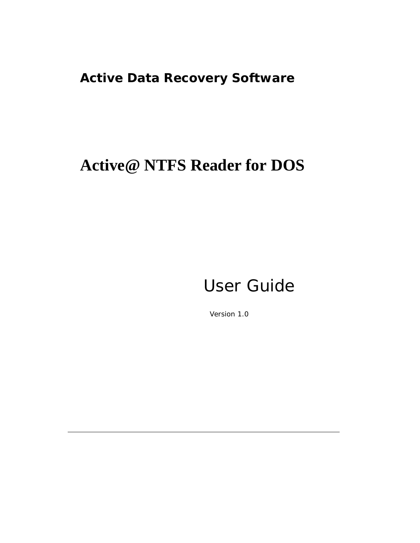### **Active Data Recovery Software**

## **Active@ NTFS Reader for DOS**

## User Guide

Version 1.0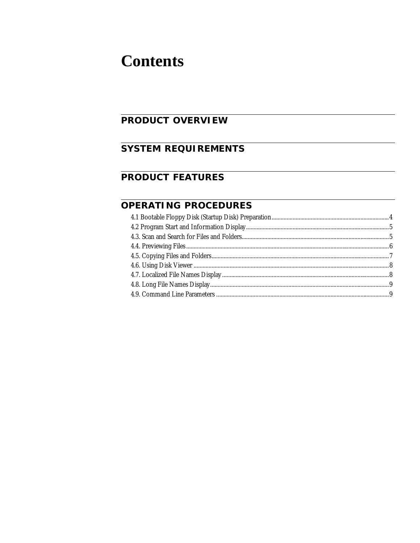### **Contents**

### **PRODUCT OVERVIEW**

### **SYSTEM REQUIREMENTS**

### **PRODUCT FEATURES**

### OPERATING PROCEDURES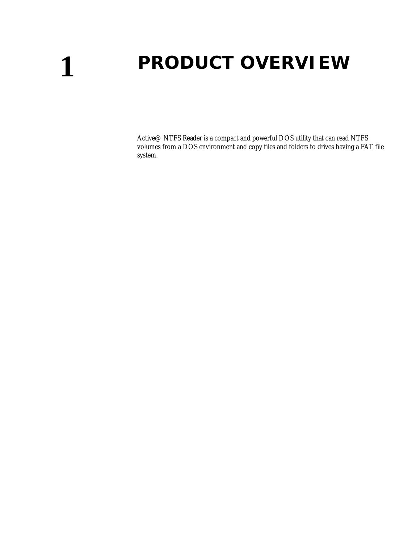# <span id="page-2-0"></span>**1 PRODUCT OVERVIEW**

Active@ NTFS Reader is a compact and powerful DOS utility that can read NTFS volumes from a DOS environment and copy files and folders to drives having a FAT file system.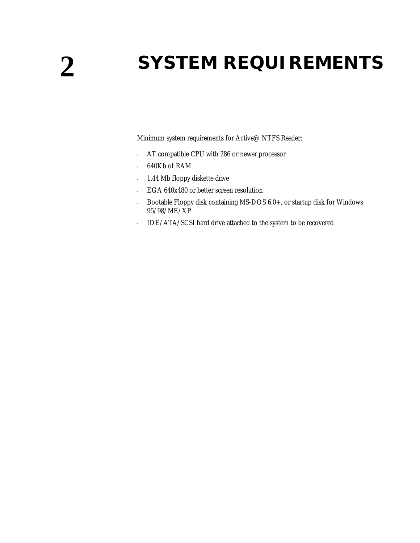# <span id="page-3-0"></span>**2 SYSTEM REQUIREMENTS**

Minimum system requirements for Active@ NTFS Reader:

- AT compatible CPU with 286 or newer processor
- 640Kb of RAM
- 1.44 Mb floppy diskette drive
- EGA 640x480 or better screen resolution
- Bootable Floppy disk containing MS-DOS 6.0+, or startup disk for Windows 95/98/ME/XP
- IDE/ATA/SCSI hard drive attached to the system to be recovered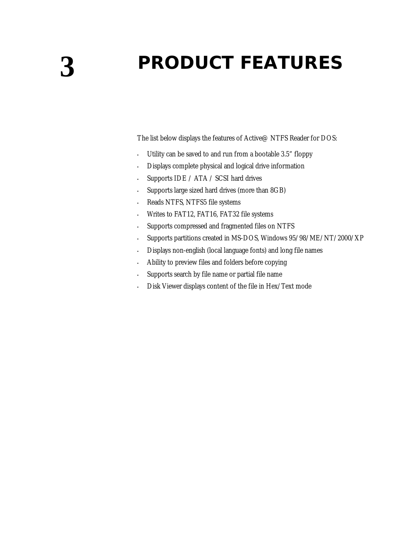## <span id="page-4-0"></span>**3 PRODUCT FEATURES**

The list below displays the features of Active@ NTFS Reader for DOS:

- Utility can be saved to and run from a bootable 3.5" floppy
- Displays complete physical and logical drive information
- Supports IDE / ATA / SCSI hard drives
- Supports large sized hard drives (more than 8GB)
- Reads NTFS, NTFS5 file systems
- Writes to FAT12, FAT16, FAT32 file systems
- Supports compressed and fragmented files on NTFS
- Supports partitions created in MS-DOS, Windows 95/98/ME/NT/2000/XP
- Displays non-english (local language fonts) and long file names
- Ability to preview files and folders before copying
- Supports search by file name or partial file name
- Disk Viewer displays content of the file in Hex/Text mode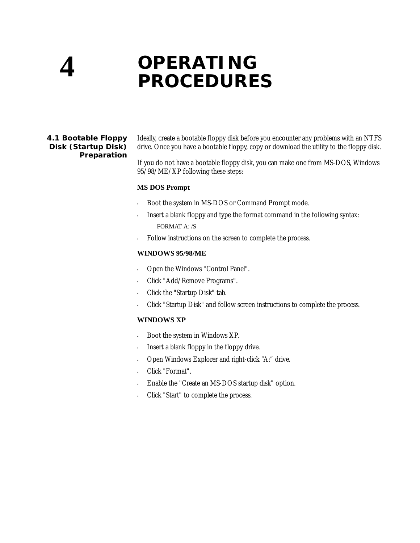## <span id="page-5-0"></span>**4 OPERATING PROCEDURES**

<span id="page-5-1"></span>**4.1 Bootable Floppy Disk (Startup Disk) Preparation** Ideally, create a bootable floppy disk before you encounter any problems with an NTFS drive. Once you have a bootable floppy, copy or download the utility to the floppy disk.

If you do not have a bootable floppy disk, you can make one from MS-DOS, Windows 95/98/ME/XP following these steps:

#### **MS DOS Prompt**

- Boot the system in MS-DOS or Command Prompt mode.
- Insert a blank floppy and type the format command in the following syntax: FORMAT A: /S
- Follow instructions on the screen to complete the process.

#### **WINDOWS 95/98/ME**

- Open the Windows "Control Panel".
- Click "Add/Remove Programs".
- Click the "Startup Disk" tab.
- Click "Startup Disk" and follow screen instructions to complete the process.

### **WINDOWS XP**

- Boot the system in Windows XP.
- Insert a blank floppy in the floppy drive.
- Open Windows Explorer and right-click "A:" drive.
- Click "Format".
- Enable the "Create an MS-DOS startup disk" option.
- Click "Start" to complete the process.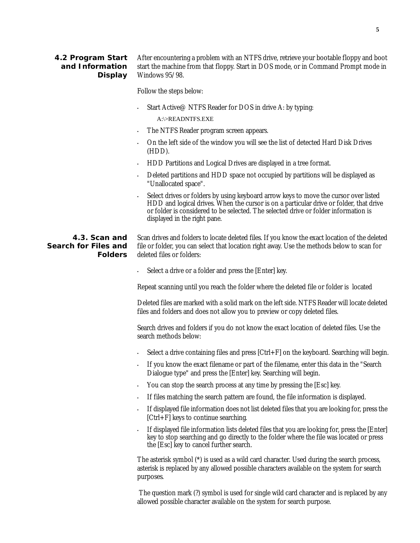<span id="page-6-0"></span>

| 4.2 Program Start<br>and Information<br>Display | After encountering a problem with an NTFS drive, retrieve your bootable floppy and boot<br>start the machine from that floppy. Start in DOS mode, or in Command Prompt mode in<br>Windows $95/98$ . |
|-------------------------------------------------|-----------------------------------------------------------------------------------------------------------------------------------------------------------------------------------------------------|
|                                                 | Follow the steps below:                                                                                                                                                                             |
|                                                 | Start Active @ NTFS Reader for DOS in drive A: by typing:                                                                                                                                           |

A:\>READNTFS.EXE

- The NTFS Reader program screen appears.
- On the left side of the window you will see the list of detected Hard Disk Drives (HDD).
- HDD Partitions and Logical Drives are displayed in a tree format.
- Deleted partitions and HDD space not occupied by partitions will be displayed as "Unallocated space".
- Select drives or folders by using keyboard arrow keys to move the cursor over listed HDD and logical drives. When the cursor is on a particular drive or folder, that drive or folder is considered to be selected. The selected drive or folder information is displayed in the right pane.

<span id="page-6-1"></span>**4.3. Scan and Search for Files and Folders** Scan drives and folders to locate deleted files. If you know the exact location of the deleted file or folder, you can select that location right away. Use the methods below to scan for deleted files or folders:

Select a drive or a folder and press the [Enter] key.

Repeat scanning until you reach the folder where the deleted file or folder is located

Deleted files are marked with a solid mark on the left side. NTFS Reader will locate deleted files and folders and does not allow you to preview or copy deleted files.

Search drives and folders if you do not know the exact location of deleted files. Use the search methods below:

- $\cdot$  Select a drive containing files and press  $[Ctrl + F]$  on the keyboard. Searching will begin.
- If you know the exact filename or part of the filename, enter this data in the "Search Dialogue type" and press the [Enter] key. Searching will begin.
- You can stop the search process at any time by pressing the [Esc] key.
- If files matching the search pattern are found, the file information is displayed.
- If displayed file information does not list deleted files that you are looking for, press the [Ctrl+F] keys to continue searching.
- If displayed file information lists deleted files that you are looking for, press the [Enter] key to stop searching and go directly to the folder where the file was located or press the [Esc] key to cancel further search.

The asterisk symbol (\*) is used as a wild card character. Used during the search process, asterisk is replaced by any allowed possible characters available on the system for search purposes.

 The question mark (?) symbol is used for single wild card character and is replaced by any allowed possible character available on the system for search purpose.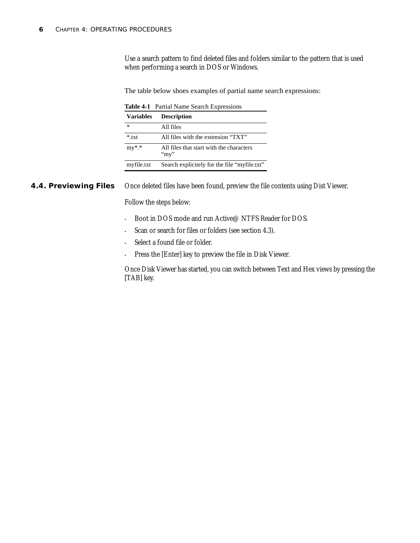Use a search pattern to find deleted files and folders similar to the pattern that is used when performing a search in DOS or Windows.

The table below shoes examples of partial name search expressions:

**Table 4-1** Partial Name Search Expressions

| <b>Variables</b> | <b>Description</b>                                   |
|------------------|------------------------------------------------------|
| *                | All files                                            |
| $*$ txt          | All files with the extension "TXT"                   |
| $my^*.*$         | All files that start with the characters<br>" $my$ " |
| myfile.txt       | Search explicitely for the file "myfile.txt"         |

<span id="page-7-0"></span>**4.4. Previewing Files** Once deleted files have been found, preview the file contents using Dist Viewer.

Follow the steps below:

- Boot in DOS mode and run Active@ NTFS Reader for DOS.
- Scan or search for files or folders (see section 4.3).
- Select a found file or folder.
- Press the [Enter] key to preview the file in Disk Viewer.

Once Disk Viewer has started, you can switch between Text and Hex views by pressing the [TAB] key.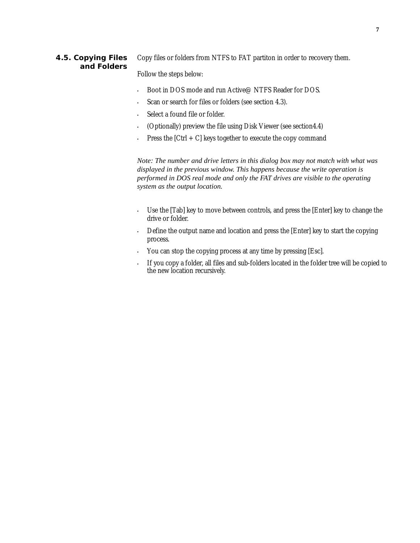### <span id="page-8-0"></span>**4.5. Copying Files and Folders**

Copy files or folders from NTFS to FAT partiton in order to recovery them.

Follow the steps below:

- Boot in DOS mode and run Active@ NTFS Reader for DOS.
- Scan or search for files or folders (see section 4.3).
- Select a found file or folder.
- (Optionally) preview the file using Disk Viewer (see section4.4)
- Press the  $[Ctrl + C]$  keys together to execute the copy command

*Note: The number and drive letters in this dialog box may not match with what was displayed in the previous window. This happens because the write operation is performed in DOS real mode and only the FAT drives are visible to the operating system as the output location.* 

- Use the [Tab] key to move between controls, and press the [Enter] key to change the drive or folder.
- Define the output name and location and press the [Enter] key to start the copying process.
- You can stop the copying process at any time by pressing [Esc].
- If you copy a folder, all files and sub-folders located in the folder tree will be copied to the new location recursively.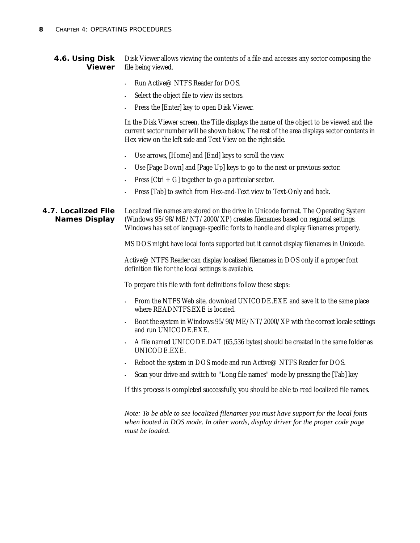- <span id="page-9-0"></span>**4.6. Using Disk Viewer** Disk Viewer allows viewing the contents of a file and accesses any sector composing the file being viewed.
	- Run Active@ NTFS Reader for DOS.
	- Select the object file to view its sectors.
	- Press the [Enter] key to open Disk Viewer.

In the Disk Viewer screen, the Title displays the name of the object to be viewed and the current sector number will be shown below. The rest of the area displays sector contents in Hex view on the left side and Text View on the right side.

- Use arrows, [Home] and [End] keys to scroll the view.
- Use [Page Down] and [Page Up] keys to go to the next or previous sector.
- Press  $[Ctrl + G]$  together to go a particular sector.
- Press [Tab] to switch from Hex-and-Text view to Text-Only and back.

<span id="page-9-1"></span>**4.7. Localized File Names Display** Localized file names are stored on the drive in Unicode format. The Operating System (Windows 95/98/ME/NT/2000/XP) creates filenames based on regional settings. Windows has set of language-specific fonts to handle and display filenames properly.

MS DOS might have local fonts supported but it cannot display filenames in Unicode.

Active@ NTFS Reader can display localized filenames in DOS only if a proper font definition file for the local settings is available.

To prepare this file with font definitions follow these steps:

- From the NTFS Web site, download UNICODE.EXE and save it to the same place where READNTFS.EXE is located.
- Boot the system in Windows 95/98/ME/NT/2000/XP with the correct locale settings and run UNICODE.EXE.
- A file named UNICODE.DAT (65,536 bytes) should be created in the same folder as UNICODE.EXE.
- Reboot the system in DOS mode and run Active@ NTFS Reader for DOS.
- Scan your drive and switch to "Long file names" mode by pressing the [Tab] key

If this process is completed successfully, you should be able to read localized file names.

*Note: To be able to see localized filenames you must have support for the local fonts when booted in DOS mode. In other words, display driver for the proper code page must be loaded.*